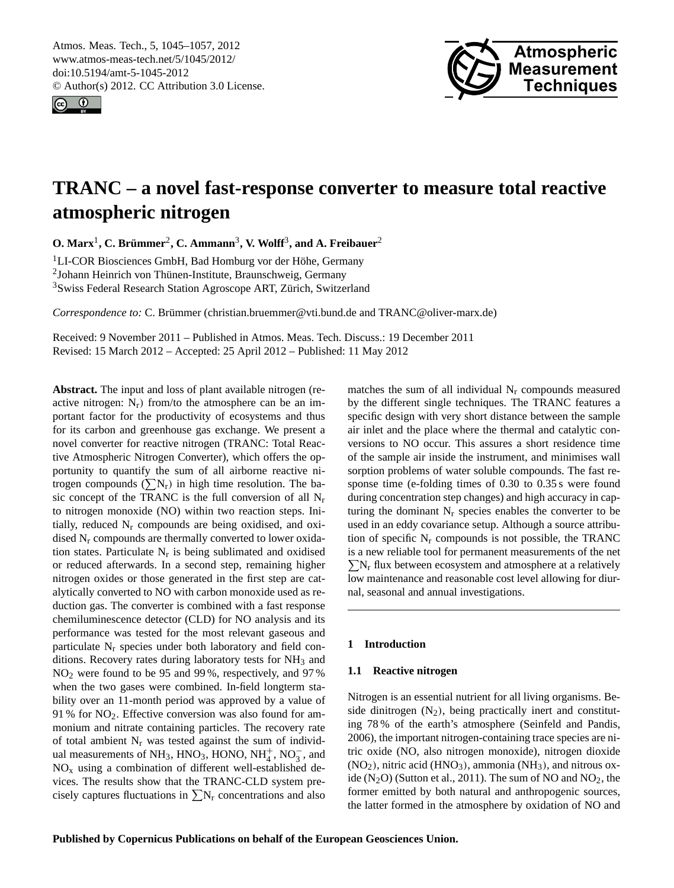<span id="page-0-0"></span>Atmos. Meas. Tech., 5, 1045–1057, 2012 www.atmos-meas-tech.net/5/1045/2012/ doi:10.5194/amt-5-1045-2012 © Author(s) 2012. CC Attribution 3.0 License.





# **TRANC – a novel fast-response converter to measure total reactive atmospheric nitrogen**

**O.** Marx<sup>1</sup>, C. Brümmer<sup>2</sup>, C. Ammann<sup>3</sup>, V. Wolff<sup>3</sup>, and A. Freibauer<sup>2</sup>

<sup>1</sup>LI-COR Biosciences GmbH, Bad Homburg vor der Höhe, Germany  $2$ Johann Heinrich von Thünen-Institute, Braunschweig, Germany <sup>3</sup>Swiss Federal Research Station Agroscope ART, Zürich, Switzerland

*Correspondence to:* C. Brümmer (christian.bruemmer@vti.bund.de and TRANC@oliver-marx.de)

Received: 9 November 2011 – Published in Atmos. Meas. Tech. Discuss.: 19 December 2011 Revised: 15 March 2012 – Accepted: 25 April 2012 – Published: 11 May 2012

**Abstract.** The input and loss of plant available nitrogen (reactive nitrogen:  $N_r$ ) from/to the atmosphere can be an important factor for the productivity of ecosystems and thus for its carbon and greenhouse gas exchange. We present a novel converter for reactive nitrogen (TRANC: Total Reactive Atmospheric Nitrogen Converter), which offers the opportunity to quantify the sum of all airborne reactive nitrogen compounds  $(\sum N_r)$  in high time resolution. The basic concept of the TRANC is the full conversion of all  $N_r$ to nitrogen monoxide (NO) within two reaction steps. Initially, reduced  $N_r$  compounds are being oxidised, and oxidised  $N_r$  compounds are thermally converted to lower oxidation states. Particulate  $N_r$  is being sublimated and oxidised or reduced afterwards. In a second step, remaining higher nitrogen oxides or those generated in the first step are catalytically converted to NO with carbon monoxide used as reduction gas. The converter is combined with a fast response chemiluminescence detector (CLD) for NO analysis and its performance was tested for the most relevant gaseous and particulate  $N_r$  species under both laboratory and field conditions. Recovery rates during laboratory tests for NH<sub>3</sub> and NO<sup>2</sup> were found to be 95 and 99 %, respectively, and 97 % when the two gases were combined. In-field longterm stability over an 11-month period was approved by a value of 91 % for  $NO<sub>2</sub>$ . Effective conversion was also found for ammonium and nitrate containing particles. The recovery rate of total ambient  $N_r$  was tested against the sum of individual measurements of NH<sub>3</sub>, HNO<sub>3</sub>, HONO, NH<sub>4</sub><sup>+</sup>, NO<sub>3</sub><sup>-</sup>, and  $NO<sub>x</sub>$  using a combination of different well-established devices. The results show that the TRANC-CLD system precisely captures fluctuations in  $\sum N_r$  concentrations and also matches the sum of all individual  $N_r$  compounds measured by the different single techniques. The TRANC features a specific design with very short distance between the sample air inlet and the place where the thermal and catalytic conversions to NO occur. This assures a short residence time of the sample air inside the instrument, and minimises wall sorption problems of water soluble compounds. The fast response time (e-folding times of 0.30 to 0.35 s were found during concentration step changes) and high accuracy in capturing the dominant  $N_r$  species enables the converter to be used in an eddy covariance setup. Although a source attribution of specific  $N_r$  compounds is not possible, the TRANC is a new reliable tool for permanent measurements of the net  $\sum N_r$  flux between ecosystem and atmosphere at a relatively low maintenance and reasonable cost level allowing for diurnal, seasonal and annual investigations.

# **1 Introduction**

### **1.1 Reactive nitrogen**

Nitrogen is an essential nutrient for all living organisms. Beside dinitrogen  $(N_2)$ , being practically inert and constituting 78 % of the earth's atmosphere (Seinfeld and Pandis, 2006), the important nitrogen-containing trace species are nitric oxide (NO, also nitrogen monoxide), nitrogen dioxide  $(NO<sub>2</sub>)$ , nitric acid  $(HNO<sub>3</sub>)$ , ammonia  $(NH<sub>3</sub>)$ , and nitrous oxide  $(N_2O)$  (Sutton et al., 2011). The sum of NO and NO<sub>2</sub>, the former emitted by both natural and anthropogenic sources, the latter formed in the atmosphere by oxidation of NO and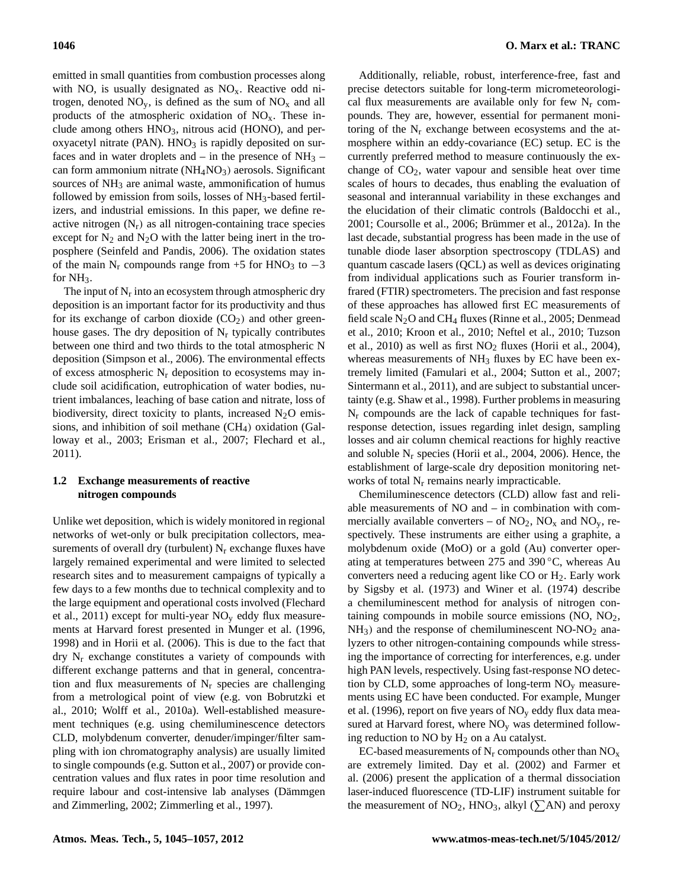emitted in small quantities from combustion processes along with NO, is usually designated as  $NO<sub>x</sub>$ . Reactive odd nitrogen, denoted  $NO_v$ , is defined as the sum of  $NO_x$  and all products of the atmospheric oxidation of  $NO<sub>x</sub>$ . These include among others  $HNO<sub>3</sub>$ , nitrous acid (HONO), and peroxyacetyl nitrate (PAN).  $HNO<sub>3</sub>$  is rapidly deposited on surfaces and in water droplets and – in the presence of  $NH<sub>3</sub>$  – can form ammonium nitrate  $(NH_4NO_3)$  aerosols. Significant sources of  $NH<sub>3</sub>$  are animal waste, ammonification of humus followed by emission from soils, losses of NH<sub>3</sub>-based fertilizers, and industrial emissions. In this paper, we define reactive nitrogen  $(N_r)$  as all nitrogen-containing trace species except for  $N_2$  and  $N_2O$  with the latter being inert in the troposphere (Seinfeld and Pandis, 2006). The oxidation states of the main N<sub>r</sub> compounds range from +5 for HNO<sub>3</sub> to  $-3$ for  $NH<sub>3</sub>$ .

The input of  $N_r$  into an ecosystem through atmospheric dry deposition is an important factor for its productivity and thus for its exchange of carbon dioxide  $(CO<sub>2</sub>)$  and other greenhouse gases. The dry deposition of  $N_r$  typically contributes between one third and two thirds to the total atmospheric N deposition (Simpson et al., 2006). The environmental effects of excess atmospheric  $N_r$  deposition to ecosystems may include soil acidification, eutrophication of water bodies, nutrient imbalances, leaching of base cation and nitrate, loss of biodiversity, direct toxicity to plants, increased  $N_2O$  emissions, and inhibition of soil methane (CH4) oxidation (Galloway et al., 2003; Erisman et al., 2007; Flechard et al., 2011).

# **1.2 Exchange measurements of reactive nitrogen compounds**

Unlike wet deposition, which is widely monitored in regional networks of wet-only or bulk precipitation collectors, measurements of overall dry (turbulent)  $N_r$  exchange fluxes have largely remained experimental and were limited to selected research sites and to measurement campaigns of typically a few days to a few months due to technical complexity and to the large equipment and operational costs involved (Flechard et al., 2011) except for multi-year  $NO<sub>y</sub>$  eddy flux measurements at Harvard forest presented in Munger et al. (1996, 1998) and in Horii et al. (2006). This is due to the fact that  $\text{dry } N_r$  exchange constitutes a variety of compounds with different exchange patterns and that in general, concentration and flux measurements of  $N_r$  species are challenging from a metrological point of view (e.g. von Bobrutzki et al., 2010; Wolff et al., 2010a). Well-established measurement techniques (e.g. using chemiluminescence detectors CLD, molybdenum converter, denuder/impinger/filter sampling with ion chromatography analysis) are usually limited to single compounds (e.g. Sutton et al., 2007) or provide concentration values and flux rates in poor time resolution and require labour and cost-intensive lab analyses (Dämmgen and Zimmerling, 2002; Zimmerling et al., 1997).

Additionally, reliable, robust, interference-free, fast and precise detectors suitable for long-term micrometeorological flux measurements are available only for few  $N_r$  compounds. They are, however, essential for permanent monitoring of the  $N_r$  exchange between ecosystems and the atmosphere within an eddy-covariance (EC) setup. EC is the currently preferred method to measure continuously the exchange of  $CO<sub>2</sub>$ , water vapour and sensible heat over time scales of hours to decades, thus enabling the evaluation of seasonal and interannual variability in these exchanges and the elucidation of their climatic controls (Baldocchi et al.,  $2001$ ; Coursolle et al.,  $2006$ ; Brümmer et al.,  $2012a$ ). In the last decade, substantial progress has been made in the use of tunable diode laser absorption spectroscopy (TDLAS) and quantum cascade lasers (QCL) as well as devices originating from individual applications such as Fourier transform infrared (FTIR) spectrometers. The precision and fast response of these approaches has allowed first EC measurements of field scale  $N_2O$  and CH<sub>4</sub> fluxes (Rinne et al., 2005; Denmead et al., 2010; Kroon et al., 2010; Neftel et al., 2010; Tuzson et al., 2010) as well as first  $NO<sub>2</sub>$  fluxes (Horii et al., 2004), whereas measurements of NH<sub>3</sub> fluxes by EC have been extremely limited (Famulari et al., 2004; Sutton et al., 2007; Sintermann et al., 2011), and are subject to substantial uncertainty (e.g. Shaw et al., 1998). Further problems in measuring  $N_r$  compounds are the lack of capable techniques for fastresponse detection, issues regarding inlet design, sampling losses and air column chemical reactions for highly reactive and soluble  $N_r$  species (Horii et al., 2004, 2006). Hence, the establishment of large-scale dry deposition monitoring networks of total  $N_r$  remains nearly impracticable.

Chemiluminescence detectors (CLD) allow fast and reliable measurements of NO and – in combination with commercially available converters – of  $NO_2$ ,  $NO_x$  and  $NO_y$ , respectively. These instruments are either using a graphite, a molybdenum oxide (MoO) or a gold (Au) converter operating at temperatures between 275 and 390 ◦C, whereas Au converters need a reducing agent like CO or H2. Early work by Sigsby et al. (1973) and Winer et al. (1974) describe a chemiluminescent method for analysis of nitrogen containing compounds in mobile source emissions  $(NO, NO<sub>2</sub>,$  $NH<sub>3</sub>$ ) and the response of chemiluminescent NO-NO<sub>2</sub> analyzers to other nitrogen-containing compounds while stressing the importance of correcting for interferences, e.g. under high PAN levels, respectively. Using fast-response NO detection by CLD, some approaches of long-term  $NO<sub>y</sub>$  measurements using EC have been conducted. For example, Munger et al. (1996), report on five years of  $NO<sub>y</sub>$  eddy flux data measured at Harvard forest, where  $NO<sub>v</sub>$  was determined following reduction to NO by  $H_2$  on a Au catalyst.

EC-based measurements of  $N_r$  compounds other than  $NO_x$ are extremely limited. Day et al. (2002) and Farmer et al. (2006) present the application of a thermal dissociation laser-induced fluorescence (TD-LIF) instrument suitable for the measurement of  $NO_2$ , HNO<sub>3</sub>, alkyl ( $\sum AN$ ) and peroxy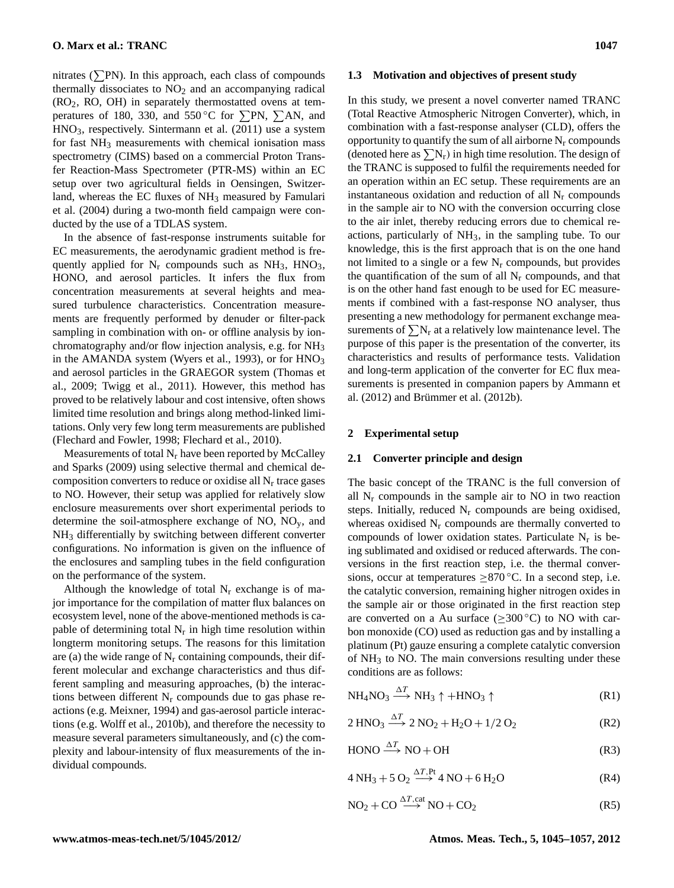nitrates ( $\Sigma$ PN). In this approach, each class of compounds thermally dissociates to  $NO<sub>2</sub>$  and an accompanying radical  $(RO<sub>2</sub>, RO, OH)$  in separately thermostatted ovens at temperatures of 180, 330, and 550 °C for  $\sum PN$ ,  $\sum AN$ , and  $HNO<sub>3</sub>$ , respectively. Sintermann et al. (2011) use a system for fast  $NH<sub>3</sub>$  measurements with chemical ionisation mass spectrometry (CIMS) based on a commercial Proton Transfer Reaction-Mass Spectrometer (PTR-MS) within an EC setup over two agricultural fields in Oensingen, Switzerland, whereas the EC fluxes of NH<sub>3</sub> measured by Famulari et al. (2004) during a two-month field campaign were conducted by the use of a TDLAS system.

In the absence of fast-response instruments suitable for EC measurements, the aerodynamic gradient method is frequently applied for  $N_r$  compounds such as  $NH_3$ ,  $HNO_3$ , HONO, and aerosol particles. It infers the flux from concentration measurements at several heights and measured turbulence characteristics. Concentration measurements are frequently performed by denuder or filter-pack sampling in combination with on- or offline analysis by ionchromatography and/or flow injection analysis, e.g. for NH<sup>3</sup> in the AMANDA system (Wyers et al., 1993), or for HNO<sub>3</sub> and aerosol particles in the GRAEGOR system (Thomas et al., 2009; Twigg et al., 2011). However, this method has proved to be relatively labour and cost intensive, often shows limited time resolution and brings along method-linked limitations. Only very few long term measurements are published (Flechard and Fowler, 1998; Flechard et al., 2010).

Measurements of total  $N_r$  have been reported by McCalley and Sparks (2009) using selective thermal and chemical decomposition converters to reduce or oxidise all  $N_r$  trace gases to NO. However, their setup was applied for relatively slow enclosure measurements over short experimental periods to determine the soil-atmosphere exchange of NO, NOy, and NH<sup>3</sup> differentially by switching between different converter configurations. No information is given on the influence of the enclosures and sampling tubes in the field configuration on the performance of the system.

Although the knowledge of total  $N_r$  exchange is of major importance for the compilation of matter flux balances on ecosystem level, none of the above-mentioned methods is capable of determining total  $N_r$  in high time resolution within longterm monitoring setups. The reasons for this limitation are (a) the wide range of  $N_r$  containing compounds, their different molecular and exchange characteristics and thus different sampling and measuring approaches, (b) the interactions between different  $N_r$  compounds due to gas phase reactions (e.g. Meixner, 1994) and gas-aerosol particle interactions (e.g. Wolff et al., 2010b), and therefore the necessity to measure several parameters simultaneously, and (c) the complexity and labour-intensity of flux measurements of the individual compounds.

#### **1.3 Motivation and objectives of present study**

In this study, we present a novel converter named TRANC (Total Reactive Atmospheric Nitrogen Converter), which, in combination with a fast-response analyser (CLD), offers the opportunity to quantify the sum of all airborne  $N_r$  compounds (denoted here as  $\sum N_r$ ) in high time resolution. The design of the TRANC is supposed to fulfil the requirements needed for an operation within an EC setup. These requirements are an instantaneous oxidation and reduction of all  $N_r$  compounds in the sample air to NO with the conversion occurring close to the air inlet, thereby reducing errors due to chemical reactions, particularly of NH3, in the sampling tube. To our knowledge, this is the first approach that is on the one hand not limited to a single or a few  $N_r$  compounds, but provides the quantification of the sum of all  $N_r$  compounds, and that is on the other hand fast enough to be used for EC measurements if combined with a fast-response NO analyser, thus presenting a new methodology for permanent exchange measurements of  $\sum N_r$  at a relatively low maintenance level. The purpose of this paper is the presentation of the converter, its characteristics and results of performance tests. Validation and long-term application of the converter for EC flux measurements is presented in companion papers by Ammann et al.  $(2012)$  and Brümmer et al.  $(2012b)$ .

#### **2 Experimental setup**

## **2.1 Converter principle and design**

The basic concept of the TRANC is the full conversion of all  $N_r$  compounds in the sample air to NO in two reaction steps. Initially, reduced  $N_r$  compounds are being oxidised, whereas oxidised  $N_r$  compounds are thermally converted to compounds of lower oxidation states. Particulate  $N_r$  is being sublimated and oxidised or reduced afterwards. The conversions in the first reaction step, i.e. the thermal conversions, occur at temperatures  $\geq 870$  °C. In a second step, i.e. the catalytic conversion, remaining higher nitrogen oxides in the sample air or those originated in the first reaction step are converted on a Au surface ( $>300\degree C$ ) to NO with carbon monoxide (CO) used as reduction gas and by installing a platinum (Pt) gauze ensuring a complete catalytic conversion of  $NH<sub>3</sub>$  to NO. The main conversions resulting under these conditions are as follows:

$$
NH_4NO_3 \xrightarrow{\Delta T} NH_3 \uparrow + HNO_3 \uparrow \qquad (R1)
$$

$$
2 \text{ HNO}_3 \stackrel{\Delta T}{\longrightarrow} 2 \text{ NO}_2 + \text{H}_2\text{O} + 1/2 \text{ O}_2 \tag{R2}
$$

$$
HONO \xrightarrow{\Delta T} NO + OH \tag{R3}
$$

$$
A \cdot T \cdot D_4
$$

$$
4 \text{ NH}_3 + 5 \text{ O}_2 \xrightarrow{\Delta T, \text{Pt}} 4 \text{ NO} + 6 \text{ H}_2\text{O}
$$
 (R4)

$$
NO2 + CO \xrightarrow{\Delta T, cat} NO + CO2
$$
 (R5)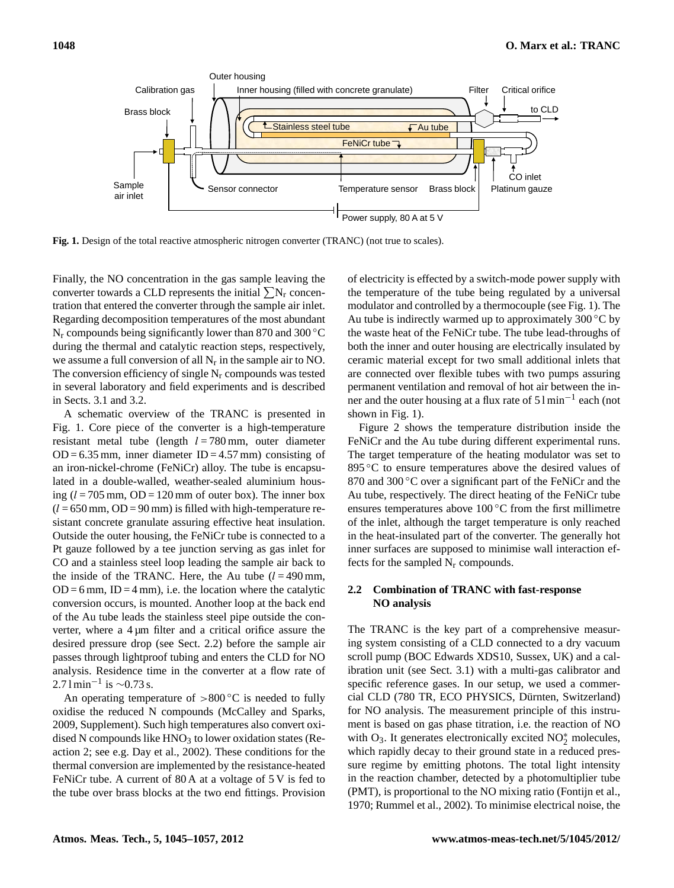

**Fig. 1.** Design of the total reactive atmospheric nitrogen converter (TRANC) (not true to scales).

Finally, the NO concentration in the gas sample leaving the converter towards a CLD represents the initial  $\sum N_r$  concentration that entered the converter through the sample air inlet. Regarding decomposition temperatures of the most abundant  $N_r$  compounds being significantly lower than 870 and 300  $\rm{°C}$ during the thermal and catalytic reaction steps, respectively, we assume a full conversion of all  $N_r$  in the sample air to NO. The conversion efficiency of single  $N_r$  compounds was tested in several laboratory and field experiments and is described in Sects. 3.1 and 3.2.

A schematic overview of the TRANC is presented in Fig. 1. Core piece of the converter is a high-temperature resistant metal tube (length  $l = 780$  mm, outer diameter  $OD = 6.35$  mm, inner diameter  $ID = 4.57$  mm) consisting of an iron-nickel-chrome (FeNiCr) alloy. The tube is encapsulated in a double-walled, weather-sealed aluminium housing ( $l = 705$  mm, OD = 120 mm of outer box). The inner box  $(l = 650$  mm, OD = 90 mm) is filled with high-temperature resistant concrete granulate assuring effective heat insulation. Outside the outer housing, the FeNiCr tube is connected to a Pt gauze followed by a tee junction serving as gas inlet for CO and a stainless steel loop leading the sample air back to the inside of the TRANC. Here, the Au tube  $(l = 490 \text{ mm})$ ,  $OD = 6$  mm,  $ID = 4$  mm), i.e. the location where the catalytic conversion occurs, is mounted. Another loop at the back end of the Au tube leads the stainless steel pipe outside the converter, where a 4 µm filter and a critical orifice assure the desired pressure drop (see Sect. 2.2) before the sample air passes through lightproof tubing and enters the CLD for NO analysis. Residence time in the converter at a flow rate of  $2.71$  min<sup>-1</sup> is ~0.73 s.

An operating temperature of  $>800\degree$ C is needed to fully oxidise the reduced N compounds (McCalley and Sparks, 2009, Supplement). Such high temperatures also convert oxidised N compounds like  $HNO<sub>3</sub>$  to lower oxidation states (Reaction 2; see e.g. Day et al., 2002). These conditions for the thermal conversion are implemented by the resistance-heated FeNiCr tube. A current of 80 A at a voltage of 5 V is fed to the tube over brass blocks at the two end fittings. Provision of electricity is effected by a switch-mode power supply with the temperature of the tube being regulated by a universal modulator and controlled by a thermocouple (see Fig. 1). The Au tube is indirectly warmed up to approximately  $300\degree C$  by the waste heat of the FeNiCr tube. The tube lead-throughs of both the inner and outer housing are electrically insulated by ceramic material except for two small additional inlets that are connected over flexible tubes with two pumps assuring permanent ventilation and removal of hot air between the inner and the outer housing at a flux rate of 5 l min−<sup>1</sup> each (not shown in Fig. 1).

Figure 2 shows the temperature distribution inside the FeNiCr and the Au tube during different experimental runs. The target temperature of the heating modulator was set to 895 <sup>°</sup>C to ensure temperatures above the desired values of 870 and 300 °C over a significant part of the FeNiCr and the Au tube, respectively. The direct heating of the FeNiCr tube ensures temperatures above 100 ◦C from the first millimetre of the inlet, although the target temperature is only reached in the heat-insulated part of the converter. The generally hot inner surfaces are supposed to minimise wall interaction effects for the sampled  $N_r$  compounds.

# **2.2 Combination of TRANC with fast-response NO analysis**

The TRANC is the key part of a comprehensive measuring system consisting of a CLD connected to a dry vacuum scroll pump (BOC Edwards XDS10, Sussex, UK) and a calibration unit (see Sect. 3.1) with a multi-gas calibrator and specific reference gases. In our setup, we used a commercial CLD (780 TR, ECO PHYSICS, Dürnten, Switzerland) for NO analysis. The measurement principle of this instrument is based on gas phase titration, i.e. the reaction of NO with  $O_3$ . It generates electronically excited  $NO_2^*$  molecules, which rapidly decay to their ground state in a reduced pressure regime by emitting photons. The total light intensity in the reaction chamber, detected by a photomultiplier tube (PMT), is proportional to the NO mixing ratio (Fontijn et al., 1970; Rummel et al., 2002). To minimise electrical noise, the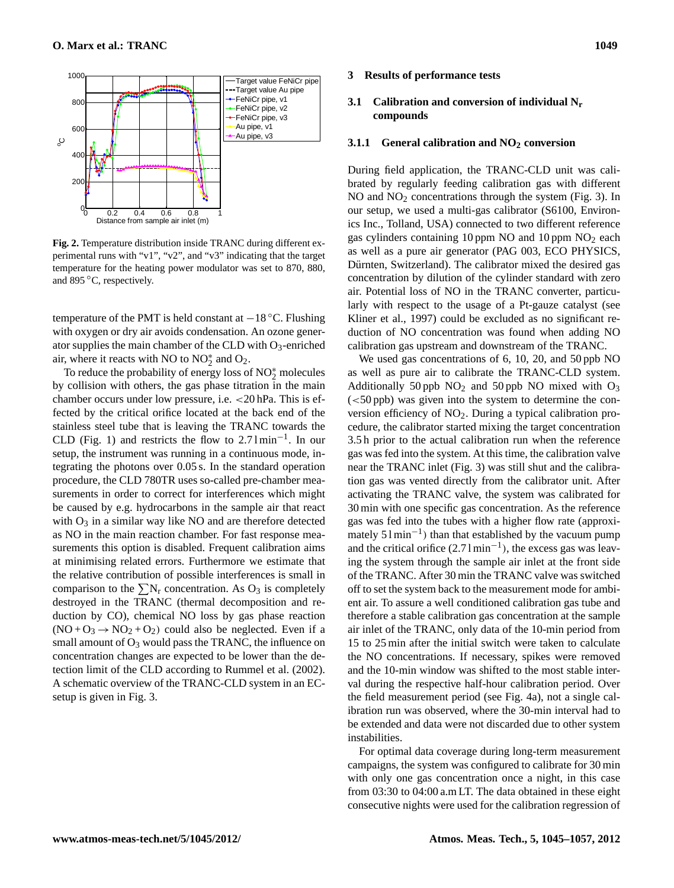

**Fig. 2.** Temperature distribution inside TRANC during different experimental runs with "v1", "v2", and "v3" indicating that the target temperature for the heating power modulator was set to 870, 880, and 895 ◦C, respectively.

temperature of the PMT is held constant at  $-18$  °C. Flushing with oxygen or dry air avoids condensation. An ozone generator supplies the main chamber of the CLD with  $O_3$ -enriched air, where it reacts with NO to  $NO_2^*$  and  $O_2$ .

To reduce the probability of energy loss of  $NO<sub>2</sub><sup>*</sup>$  molecules by collision with others, the gas phase titration in the main chamber occurs under low pressure, i.e. <20 hPa. This is effected by the critical orifice located at the back end of the stainless steel tube that is leaving the TRANC towards the CLD (Fig. 1) and restricts the flow to  $2.71 \text{min}^{-1}$ . In our setup, the instrument was running in a continuous mode, integrating the photons over 0.05 s. In the standard operation procedure, the CLD 780TR uses so-called pre-chamber measurements in order to correct for interferences which might be caused by e.g. hydrocarbons in the sample air that react with  $O_3$  in a similar way like NO and are therefore detected as NO in the main reaction chamber. For fast response measurements this option is disabled. Frequent calibration aims at minimising related errors. Furthermore we estimate that the relative contribution of possible interferences is small in comparison to the  $\sum N_r$  concentration. As O<sub>3</sub> is completely destroyed in the TRANC (thermal decomposition and reduction by CO), chemical NO loss by gas phase reaction  $(NO + O_3 \rightarrow NO_2 + O_2)$  could also be neglected. Even if a small amount of  $O_3$  would pass the TRANC, the influence on concentration changes are expected to be lower than the detection limit of the CLD according to Rummel et al. (2002). A schematic overview of the TRANC-CLD system in an ECsetup is given in Fig. 3.

#### **3 Results of performance tests**

# **3.1 Calibration and conversion of individual N<sup>r</sup> compounds**

#### **3.1.1 General calibration and NO<sup>2</sup> conversion**

During field application, the TRANC-CLD unit was calibrated by regularly feeding calibration gas with different NO and NO<sup>2</sup> concentrations through the system (Fig. 3). In our setup, we used a multi-gas calibrator (S6100, Environics Inc., Tolland, USA) connected to two different reference gas cylinders containing 10 ppm NO and 10 ppm NO<sub>2</sub> each as well as a pure air generator (PAG 003, ECO PHYSICS, Dürnten, Switzerland). The calibrator mixed the desired gas concentration by dilution of the cylinder standard with zero air. Potential loss of NO in the TRANC converter, particularly with respect to the usage of a Pt-gauze catalyst (see Kliner et al., 1997) could be excluded as no significant reduction of NO concentration was found when adding NO calibration gas upstream and downstream of the TRANC.

We used gas concentrations of 6, 10, 20, and 50 ppb NO as well as pure air to calibrate the TRANC-CLD system. Additionally 50 ppb  $NO<sub>2</sub>$  and 50 ppb NO mixed with  $O<sub>3</sub>$  $(<50$  ppb) was given into the system to determine the conversion efficiency of  $NO<sub>2</sub>$ . During a typical calibration procedure, the calibrator started mixing the target concentration 3.5 h prior to the actual calibration run when the reference gas was fed into the system. At this time, the calibration valve near the TRANC inlet (Fig. 3) was still shut and the calibration gas was vented directly from the calibrator unit. After activating the TRANC valve, the system was calibrated for 30 min with one specific gas concentration. As the reference gas was fed into the tubes with a higher flow rate (approximately 51min<sup>-1</sup>) than that established by the vacuum pump and the critical orifice  $(2.71 \text{min}^{-1})$ , the excess gas was leaving the system through the sample air inlet at the front side of the TRANC. After 30 min the TRANC valve was switched off to set the system back to the measurement mode for ambient air. To assure a well conditioned calibration gas tube and therefore a stable calibration gas concentration at the sample air inlet of the TRANC, only data of the 10-min period from 15 to 25 min after the initial switch were taken to calculate the NO concentrations. If necessary, spikes were removed and the 10-min window was shifted to the most stable interval during the respective half-hour calibration period. Over the field measurement period (see Fig. 4a), not a single calibration run was observed, where the 30-min interval had to be extended and data were not discarded due to other system instabilities.

For optimal data coverage during long-term measurement campaigns, the system was configured to calibrate for 30 min with only one gas concentration once a night, in this case from 03:30 to 04:00 a.m LT. The data obtained in these eight consecutive nights were used for the calibration regression of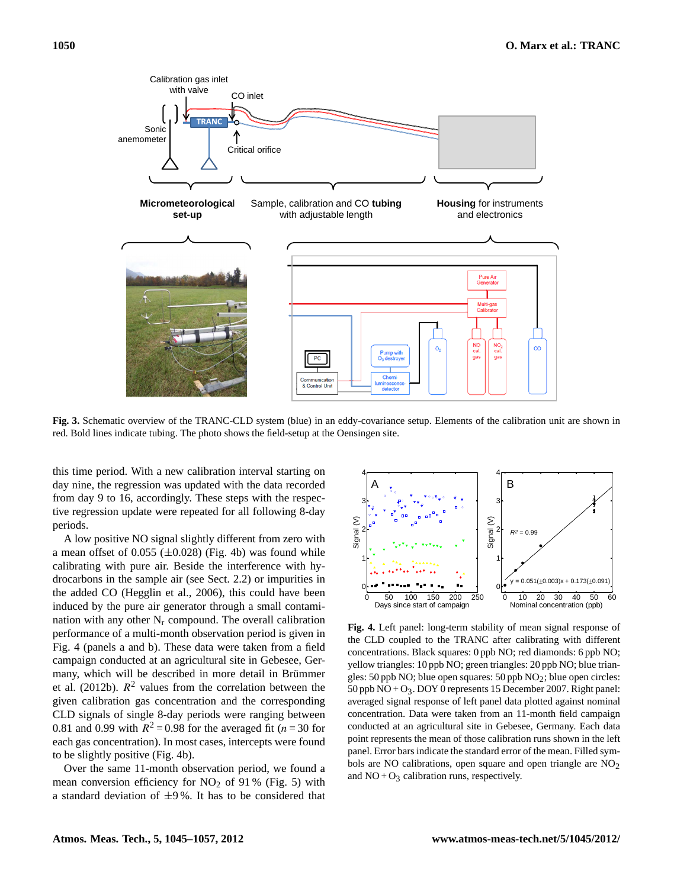

**Fig. 3.** Schematic overview of the TRANC-CLD system (blue) in an eddy-covariance setup. Elements of the calibration unit are shown in red. Bold lines indicate tubing. The photo shows the field-setup at the Oensingen site.

this time period. With a new calibration interval starting on day nine, the regression was updated with the data recorded from day 9 to 16, accordingly. These steps with the respective regression update were repeated for all following 8-day periods.

A low positive NO signal slightly different from zero with a mean offset of  $0.055 \ (\pm 0.028)$  (Fig. 4b) was found while calibrating with pure air. Beside the interference with hydrocarbons in the sample air (see Sect. 2.2) or impurities in the added CO (Hegglin et al., 2006), this could have been induced by the pure air generator through a small contamination with any other  $N_r$  compound. The overall calibration performance of a multi-month observation period is given in Fig. 4 (panels a and b). These data were taken from a field campaign conducted at an agricultural site in Gebesee, Germany, which will be described in more detail in Brümmer et al. (2012b).  $R^2$  values from the correlation between the given calibration gas concentration and the corresponding CLD signals of single 8-day periods were ranging between 0.81 and 0.99 with  $R^2 = 0.98$  for the averaged fit (*n* = 30 for each gas concentration). In most cases, intercepts were found to be slightly positive (Fig. 4b).

Over the same 11-month observation period, we found a mean conversion efficiency for  $NO<sub>2</sub>$  of 91% (Fig. 5) with a standard deviation of  $\pm 9$ %. It has to be considered that



**Fig. 4.** Left panel: long-term stability of mean signal response of the CLD coupled to the TRANC after calibrating with different concentrations. Black squares: 0 ppb NO; red diamonds: 6 ppb NO; yellow triangles: 10 ppb NO; green triangles: 20 ppb NO; blue triangles: 50 ppb NO; blue open squares: 50 ppb  $NO<sub>2</sub>$ ; blue open circles: 50 ppb  $NO + O_3$ . DOY 0 represents 15 December 2007. Right panel: averaged signal response of left panel data plotted against nominal concentration. Data were taken from an 11-month field campaign conducted at an agricultural site in Gebesee, Germany. Each data point represents the mean of those calibration runs shown in the left panel. Error bars indicate the standard error of the mean. Filled symbols are NO calibrations, open square and open triangle are  $NO<sub>2</sub>$ and  $NO + O_3$  calibration runs, respectively.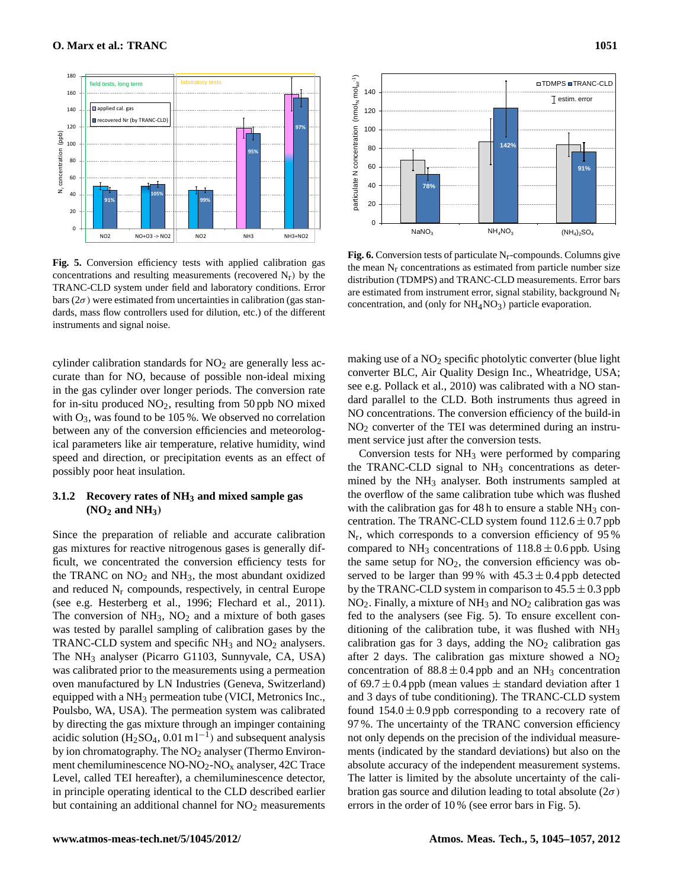

**Fig. 5.** Conversion efficiency tests with applied calibration gas concentrations and resulting measurements (recovered  $N_r$ ) by the TRANC-CLD system under field and laboratory conditions. Error bars ( $2\sigma$ ) were estimated from uncertainties in calibration (gas standards, mass flow controllers used for dilution, etc.) of the different instruments and signal noise.

cylinder calibration standards for  $NO<sub>2</sub>$  are generally less accurate than for NO, because of possible non-ideal mixing in the gas cylinder over longer periods. The conversion rate for in-situ produced  $NO<sub>2</sub>$ , resulting from 50 ppb NO mixed with  $O_3$ , was found to be 105 %. We observed no correlation between any of the conversion efficiencies and meteorological parameters like air temperature, relative humidity, wind speed and direction, or precipitation events as an effect of possibly poor heat insulation.

# **3.1.2 Recovery rates of NH<sup>3</sup> and mixed sample gas (NO<sup>2</sup> and NH3**)

Since the preparation of reliable and accurate calibration gas mixtures for reactive nitrogenous gases is generally difficult, we concentrated the conversion efficiency tests for the TRANC on  $NO<sub>2</sub>$  and  $NH<sub>3</sub>$ , the most abundant oxidized and reduced  $N_r$  compounds, respectively, in central Europe (see e.g. Hesterberg et al., 1996; Flechard et al., 2011). The conversion of  $NH_3$ ,  $NO_2$  and a mixture of both gases was tested by parallel sampling of calibration gases by the TRANC-CLD system and specific  $NH<sub>3</sub>$  and NO<sub>2</sub> analysers. The NH<sup>3</sup> analyser (Picarro G1103, Sunnyvale, CA, USA) was calibrated prior to the measurements using a permeation oven manufactured by LN Industries (Geneva, Switzerland) equipped with a NH<sup>3</sup> permeation tube (VICI, Metronics Inc., Poulsbo, WA, USA). The permeation system was calibrated by directing the gas mixture through an impinger containing acidic solution (H<sub>2</sub>SO<sub>4</sub>, 0.01 m l<sup>-1</sup>) and subsequent analysis by ion chromatography. The NO<sub>2</sub> analyser (Thermo Environment chemiluminescence  $NO-NO<sub>2</sub>-NO<sub>x</sub>$  analyser, 42C Trace Level, called TEI hereafter), a chemiluminescence detector, in principle operating identical to the CLD described earlier but containing an additional channel for  $NO<sub>2</sub>$  measurements



**Fig. 6.** Conversion tests of particulate  $N_r$ -compounds. Columns give the mean  $N_r$  concentrations as estimated from particle number size distribution (TDMPS) and TRANC-CLD measurements. Error bars are estimated from instrument error, signal stability, background Nr concentration, and (only for  $NH<sub>4</sub>NO<sub>3</sub>$ ) particle evaporation.

making use of a  $NO<sub>2</sub>$  specific photolytic converter (blue light converter BLC, Air Quality Design Inc., Wheatridge, USA; see e.g. Pollack et al., 2010) was calibrated with a NO standard parallel to the CLD. Both instruments thus agreed in NO concentrations. The conversion efficiency of the build-in NO<sup>2</sup> converter of the TEI was determined during an instrument service just after the conversion tests.

Conversion tests for NH<sup>3</sup> were performed by comparing the TRANC-CLD signal to  $NH<sub>3</sub>$  concentrations as determined by the  $NH_3$  analyser. Both instruments sampled at the overflow of the same calibration tube which was flushed with the calibration gas for  $48 h$  to ensure a stable NH<sub>3</sub> concentration. The TRANC-CLD system found  $112.6 \pm 0.7$  ppb Nr , which corresponds to a conversion efficiency of 95 % compared to NH<sub>3</sub> concentrations of  $118.8 \pm 0.6$  ppb. Using the same setup for  $NO<sub>2</sub>$ , the conversion efficiency was observed to be larger than 99% with  $45.3 \pm 0.4$  ppb detected by the TRANC-CLD system in comparison to  $45.5 \pm 0.3$  ppb  $NO<sub>2</sub>$ . Finally, a mixture of  $NH<sub>3</sub>$  and  $NO<sub>2</sub>$  calibration gas was fed to the analysers (see Fig. 5). To ensure excellent conditioning of the calibration tube, it was flushed with  $NH<sub>3</sub>$ calibration gas for 3 days, adding the  $NO<sub>2</sub>$  calibration gas after 2 days. The calibration gas mixture showed a  $NO<sub>2</sub>$ concentration of  $88.8 \pm 0.4$  ppb and an NH<sub>3</sub> concentration of 69.7  $\pm$  0.4 ppb (mean values  $\pm$  standard deviation after 1 and 3 days of tube conditioning). The TRANC-CLD system found  $154.0 \pm 0.9$  ppb corresponding to a recovery rate of 97 %. The uncertainty of the TRANC conversion efficiency not only depends on the precision of the individual measurements (indicated by the standard deviations) but also on the absolute accuracy of the independent measurement systems. The latter is limited by the absolute uncertainty of the calibration gas source and dilution leading to total absolute  $(2\sigma)$ errors in the order of 10 % (see error bars in Fig. 5).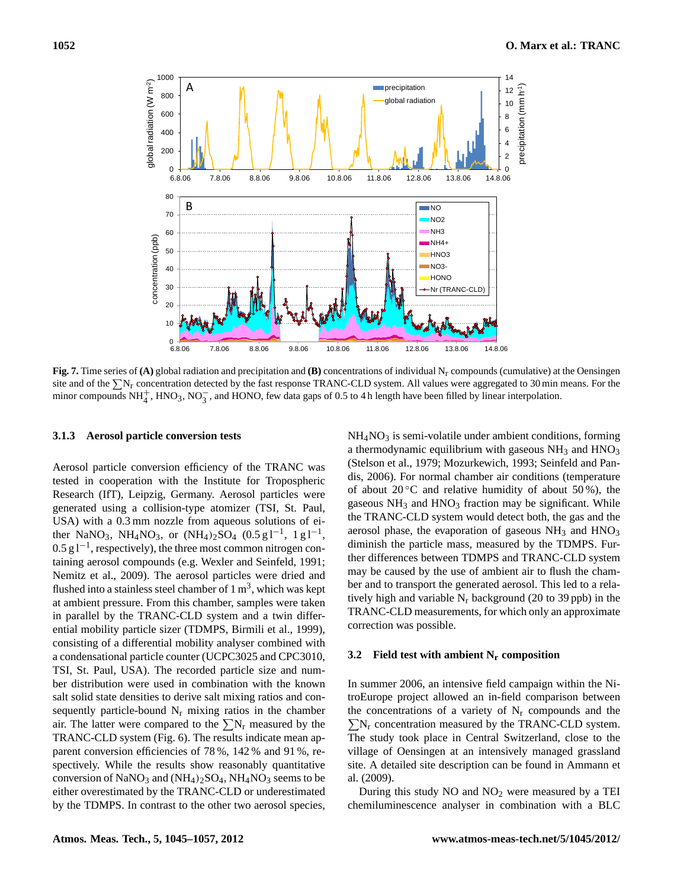

**Fig. 7.** Time series of **(A)** global radiation and precipitation and **(B)** concentrations of individual N<sub>r</sub> compounds (cumulative) at the Oensingen site and of the  $\sum N_r$  concentration detected by the fast response TRANC-CLD system. All values were aggregated to 30 min means. For the minor compounds  $NH_4^+$ , HNO<sub>3</sub>, NO<sub>3</sub><sup>-</sup>, and HONO, few data gaps of 0.5 to 4 h length have been filled by linear interpolation.

## **3.1.3 Aerosol particle conversion tests**

Aerosol particle conversion efficiency of the TRANC was tested in cooperation with the Institute for Tropospheric Research (IfT), Leipzig, Germany. Aerosol particles were generated using a collision-type atomizer (TSI, St. Paul, USA) with a 0.3 mm nozzle from aqueous solutions of either NaNO<sub>3</sub>, NH<sub>4</sub>NO<sub>3</sub>, or  $(NH_4)_2SO_4$   $(0.5 g 1^{-1}, 1 g 1^{-1},$  $0.5 g 1^{-1}$ , respectively), the three most common nitrogen containing aerosol compounds (e.g. Wexler and Seinfeld, 1991; Nemitz et al., 2009). The aerosol particles were dried and flushed into a stainless steel chamber of  $1 \text{ m}^3$ , which was kept at ambient pressure. From this chamber, samples were taken in parallel by the TRANC-CLD system and a twin differential mobility particle sizer (TDMPS, Birmili et al., 1999), consisting of a differential mobility analyser combined with a condensational particle counter (UCPC3025 and CPC3010, TSI, St. Paul, USA). The recorded particle size and number distribution were used in combination with the known salt solid state densities to derive salt mixing ratios and consequently particle-bound  $N_r$  mixing ratios in the chamber air. The latter were compared to the  $\sum N_r$  measured by the TRANC-CLD system (Fig. 6). The results indicate mean apparent conversion efficiencies of 78 %, 142 % and 91 %, respectively. While the results show reasonably quantitative conversion of NaNO<sub>3</sub> and  $(NH_4)$ <sub>2</sub>SO<sub>4</sub>,  $NH_4$ NO<sub>3</sub> seems to be either overestimated by the TRANC-CLD or underestimated by the TDMPS. In contrast to the other two aerosol species,  $NH<sub>4</sub>NO<sub>3</sub>$  is semi-volatile under ambient conditions, forming a thermodynamic equilibrium with gaseous  $NH_3$  and  $HNO_3$ (Stelson et al., 1979; Mozurkewich, 1993; Seinfeld and Pandis, 2006). For normal chamber air conditions (temperature of about  $20^{\circ}$ C and relative humidity of about 50%), the gaseous  $NH<sub>3</sub>$  and  $HNO<sub>3</sub>$  fraction may be significant. While the TRANC-CLD system would detect both, the gas and the aerosol phase, the evaporation of gaseous  $NH<sub>3</sub>$  and  $HNO<sub>3</sub>$ diminish the particle mass, measured by the TDMPS. Further differences between TDMPS and TRANC-CLD system may be caused by the use of ambient air to flush the chamber and to transport the generated aerosol. This led to a relatively high and variable  $N_r$  background (20 to 39 ppb) in the TRANC-CLD measurements, for which only an approximate correction was possible.

## **3.2 Field test with ambient N<sup>r</sup> composition**

In summer 2006, an intensive field campaign within the NitroEurope project allowed an in-field comparison between the concentrations of a variety of  $N_r$  compounds and the the concentrations of a variety of  $N_r$  compounds and the  $\sum N_r$  concentration measured by the TRANC-CLD system. The study took place in Central Switzerland, close to the village of Oensingen at an intensively managed grassland site. A detailed site description can be found in Ammann et al. (2009).

During this study  $NO$  and  $NO<sub>2</sub>$  were measured by a TEI chemiluminescence analyser in combination with a BLC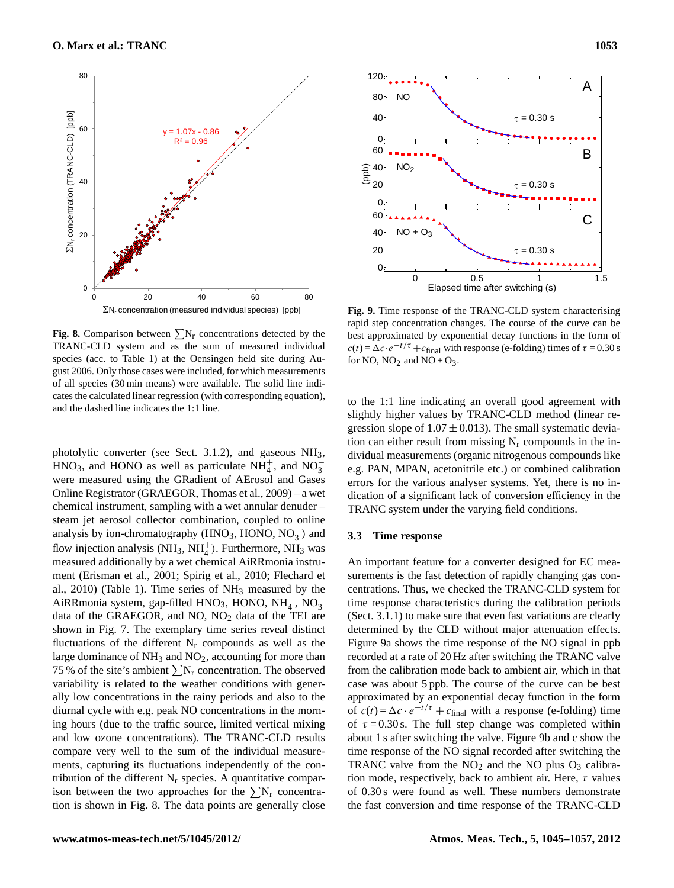

**Fig. 8.** Comparison between  $\sum N_r$  concentrations detected by the TRANC-CLD system and as the sum of measured individual species (acc. to Table 1) at the Oensingen field site during August 2006. Only those cases were included, for which measurements of all species (30 min means) were available. The solid line indicates the calculated linear regression (with corresponding equation), and the dashed line indicates the 1:1 line.

photolytic converter (see Sect. 3.1.2), and gaseous NH<sub>3</sub>, HNO<sub>3</sub>, and HONO as well as particulate  $NH_4^+$ , and  $NO_3^$ were measured using the GRadient of AErosol and Gases Online Registrator (GRAEGOR, Thomas et al., 2009) – a wet chemical instrument, sampling with a wet annular denuder – steam jet aerosol collector combination, coupled to online analysis by ion-chromatography (HNO<sub>3</sub>, HONO, NO<sub>3</sub>) and flow injection analysis (NH<sub>3</sub>, NH<sub>4</sub><sup>+</sup>). Furthermore, NH<sub>3</sub> was measured additionally by a wet chemical AiRRmonia instrument (Erisman et al., 2001; Spirig et al., 2010; Flechard et al., 2010) (Table 1). Time series of NH<sup>3</sup> measured by the AiRRmonia system, gap-filled HNO<sub>3</sub>, HONO, NH<sub>4</sub><sup>+</sup>, NO<sub>3</sub> data of the GRAEGOR, and NO, NO<sub>2</sub> data of the TEI are shown in Fig. 7. The exemplary time series reveal distinct fluctuations of the different  $N_r$  compounds as well as the large dominance of  $NH_3$  and  $NO_2$ , accounting for more than 75 % of the site's ambient  $\sum N_r$  concentration. The observed variability is related to the weather conditions with generally low concentrations in the rainy periods and also to the diurnal cycle with e.g. peak NO concentrations in the morning hours (due to the traffic source, limited vertical mixing and low ozone concentrations). The TRANC-CLD results compare very well to the sum of the individual measurements, capturing its fluctuations independently of the contribution of the different  $N_r$  species. A quantitative comparison between the two approaches for the  $\sum N_r$  concentration is shown in Fig. 8. The data points are generally close



**Fig. 9.** Time response of the TRANC-CLD system characterising rapid step concentration changes. The course of the curve can be best approximated by exponential decay functions in the form of  $c(t) = \Delta c \cdot e^{-t/\tau} + c_{\text{final}}$  with response (e-folding) times of  $\tau = 0.30$  s for NO,  $NO<sub>2</sub>$  and  $NO + O<sub>3</sub>$ .

to the 1:1 line indicating an overall good agreement with slightly higher values by TRANC-CLD method (linear regression slope of  $1.07 \pm 0.013$ ). The small systematic deviation can either result from missing  $N_r$  compounds in the individual measurements (organic nitrogenous compounds like e.g. PAN, MPAN, acetonitrile etc.) or combined calibration errors for the various analyser systems. Yet, there is no indication of a significant lack of conversion efficiency in the TRANC system under the varying field conditions.

#### **3.3 Time response**

An important feature for a converter designed for EC measurements is the fast detection of rapidly changing gas concentrations. Thus, we checked the TRANC-CLD system for time response characteristics during the calibration periods (Sect. 3.1.1) to make sure that even fast variations are clearly determined by the CLD without major attenuation effects. Figure 9a shows the time response of the NO signal in ppb recorded at a rate of 20 Hz after switching the TRANC valve from the calibration mode back to ambient air, which in that case was about 5 ppb. The course of the curve can be best approximated by an exponential decay function in the form of  $c(t) = \Delta c \cdot e^{-t/\tau} + c_{\text{final}}$  with a response (e-folding) time of  $\tau = 0.30$  s. The full step change was completed within about 1 s after switching the valve. Figure 9b and c show the time response of the NO signal recorded after switching the TRANC valve from the  $NO<sub>2</sub>$  and the NO plus  $O<sub>3</sub>$  calibration mode, respectively, back to ambient air. Here,  $\tau$  values of 0.30 s were found as well. These numbers demonstrate the fast conversion and time response of the TRANC-CLD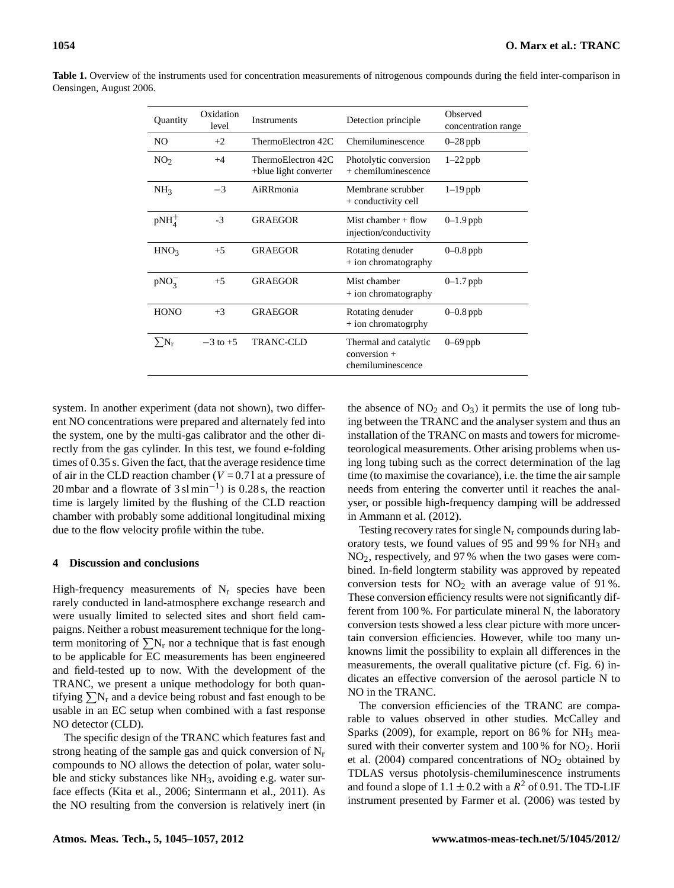| Quantity           | Oxidation<br>level | <b>Instruments</b>                          | Detection principle                                          | Observed<br>concentration range |
|--------------------|--------------------|---------------------------------------------|--------------------------------------------------------------|---------------------------------|
| N <sub>O</sub>     | $+2$               | ThermoElectron 42C                          | Chemiluminescence                                            | $0-28$ ppb                      |
| NO <sub>2</sub>    | $+4$               | ThermoElectron 42C<br>+blue light converter | Photolytic conversion<br>+ chemiluminescence                 | $1-22$ ppb                      |
| NH <sub>3</sub>    | $-3$               | AiRRmonia                                   | Membrane scrubber<br>+ conductivity cell                     | $1-19$ ppb                      |
| pNH <sub>4</sub>   | $-3$               | <b>GRAEGOR</b>                              | Mist chamber $+$ flow<br>injection/conductivity              | $0-1.9$ ppb                     |
| HNO <sub>3</sub>   | $+5$               | <b>GRAEGOR</b>                              | Rotating denuder<br>$+$ ion chromatography                   | $0-0.8$ ppb                     |
| $pNO_2^-$          | $+5$               | <b>GRAEGOR</b>                              | Mist chamber<br>$+$ ion chromatography                       | $0-1.7$ ppb                     |
| <b>HONO</b>        | $+3$               | <b>GRAEGOR</b>                              | Rotating denuder<br>$+$ ion chromatogrphy                    | $0-0.8$ ppb                     |
| $\Sigma_{\rm N_r}$ | $-3$ to $+5$       | <b>TRANC-CLD</b>                            | Thermal and catalytic<br>$conversion +$<br>chemiluminescence | $0-69$ ppb                      |

**Table 1.** Overview of the instruments used for concentration measurements of nitrogenous compounds during the field inter-comparison in Oensingen, August 2006.

system. In another experiment (data not shown), two different NO concentrations were prepared and alternately fed into the system, one by the multi-gas calibrator and the other directly from the gas cylinder. In this test, we found e-folding times of 0.35 s. Given the fact, that the average residence time of air in the CLD reaction chamber ( $V = 0.71$  at a pressure of 20 mbar and a flowrate of 3 sl min−<sup>1</sup> ) is 0.28 s, the reaction time is largely limited by the flushing of the CLD reaction chamber with probably some additional longitudinal mixing due to the flow velocity profile within the tube.

# **4 Discussion and conclusions**

High-frequency measurements of  $N_r$  species have been rarely conducted in land-atmosphere exchange research and were usually limited to selected sites and short field campaigns. Neither a robust measurement technique for the longterm monitoring of  $\sum N_r$  nor a technique that is fast enough to be applicable for EC measurements has been engineered and field-tested up to now. With the development of the TRANC, we present a unique methodology for both quantifying  $\sum N_r$  and a device being robust and fast enough to be usable in an EC setup when combined with a fast response NO detector (CLD).

The specific design of the TRANC which features fast and strong heating of the sample gas and quick conversion of  $N_r$ compounds to NO allows the detection of polar, water soluble and sticky substances like NH<sub>3</sub>, avoiding e.g. water surface effects (Kita et al., 2006; Sintermann et al., 2011). As the NO resulting from the conversion is relatively inert (in the absence of  $NO<sub>2</sub>$  and  $O<sub>3</sub>$ ) it permits the use of long tubing between the TRANC and the analyser system and thus an installation of the TRANC on masts and towers for micrometeorological measurements. Other arising problems when using long tubing such as the correct determination of the lag time (to maximise the covariance), i.e. the time the air sample needs from entering the converter until it reaches the analyser, or possible high-frequency damping will be addressed in Ammann et al. (2012).

Testing recovery rates for single  $N_r$  compounds during laboratory tests, we found values of 95 and 99% for  $NH_3$  and NO2, respectively, and 97 % when the two gases were combined. In-field longterm stability was approved by repeated conversion tests for  $NO<sub>2</sub>$  with an average value of 91%. These conversion efficiency results were not significantly different from 100 %. For particulate mineral N, the laboratory conversion tests showed a less clear picture with more uncertain conversion efficiencies. However, while too many unknowns limit the possibility to explain all differences in the measurements, the overall qualitative picture (cf. Fig. 6) indicates an effective conversion of the aerosol particle N to NO in the TRANC.

The conversion efficiencies of the TRANC are comparable to values observed in other studies. McCalley and Sparks (2009), for example, report on  $86\%$  for NH<sub>3</sub> measured with their converter system and  $100\%$  for  $NO<sub>2</sub>$ . Horii et al. (2004) compared concentrations of  $NO<sub>2</sub>$  obtained by TDLAS versus photolysis-chemiluminescence instruments and found a slope of  $1.1 \pm 0.2$  with a  $R^2$  of 0.91. The TD-LIF instrument presented by Farmer et al. (2006) was tested by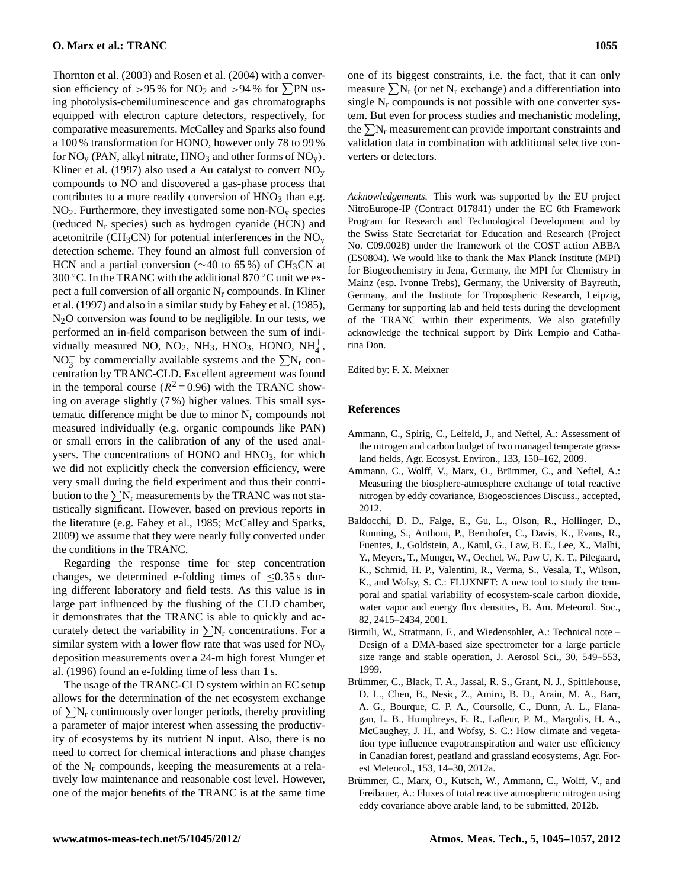Thornton et al. (2003) and Rosen et al. (2004) with a conversion efficiency of >95 % for NO<sub>2</sub> and >94 % for  $\Sigma$ PN using photolysis-chemiluminescence and gas chromatographs equipped with electron capture detectors, respectively, for comparative measurements. McCalley and Sparks also found a 100 % transformation for HONO, however only 78 to 99 % for  $NO_y$  (PAN, alkyl nitrate, HNO<sub>3</sub> and other forms of  $NO_y$ ). Kliner et al. (1997) also used a Au catalyst to convert  $NO<sub>y</sub>$ compounds to NO and discovered a gas-phase process that contributes to a more readily conversion of  $HNO<sub>3</sub>$  than e.g.  $NO<sub>2</sub>$ . Furthermore, they investigated some non- $NO<sub>y</sub>$  species (reduced  $N_r$  species) such as hydrogen cyanide (HCN) and acetonitrile (CH<sub>3</sub>CN) for potential interferences in the  $NO<sub>y</sub>$ detection scheme. They found an almost full conversion of HCN and a partial conversion ( $\sim$ 40 to 65 %) of CH<sub>3</sub>CN at 300 °C. In the TRANC with the additional 870 °C unit we expect a full conversion of all organic  $N_r$  compounds. In Kliner et al. (1997) and also in a similar study by Fahey et al. (1985),  $N<sub>2</sub>O$  conversion was found to be negligible. In our tests, we performed an in-field comparison between the sum of individually measured NO,  $\overline{NO}_2$ , NH<sub>3</sub>, HNO<sub>3</sub>, HONO, NH<sub>4</sub><sup>+</sup>, NO<sub>3</sub> by commercially available systems and the  $\sum N_r$  concentration by TRANC-CLD. Excellent agreement was found in the temporal course ( $R^2 = 0.96$ ) with the TRANC showing on average slightly (7 %) higher values. This small systematic difference might be due to minor  $N_r$  compounds not measured individually (e.g. organic compounds like PAN) or small errors in the calibration of any of the used analysers. The concentrations of HONO and  $HNO<sub>3</sub>$ , for which we did not explicitly check the conversion efficiency, were very small during the field experiment and thus their contribution to the  $\sum N_r$  measurements by the TRANC was not statistically significant. However, based on previous reports in the literature (e.g. Fahey et al., 1985; McCalley and Sparks, 2009) we assume that they were nearly fully converted under the conditions in the TRANC.

Regarding the response time for step concentration changes, we determined e-folding times of  $\leq 0.35$  s during different laboratory and field tests. As this value is in large part influenced by the flushing of the CLD chamber, it demonstrates that the TRANC is able to quickly and accurately detect the variability in  $\sum N_r$  concentrations. For a similar system with a lower flow rate that was used for  $NO<sub>v</sub>$ deposition measurements over a 24-m high forest Munger et al. (1996) found an e-folding time of less than 1 s.

The usage of the TRANC-CLD system within an EC setup allows for the determination of the net ecosystem exchange of  $\sum N_r$  continuously over longer periods, thereby providing a parameter of major interest when assessing the productivity of ecosystems by its nutrient N input. Also, there is no need to correct for chemical interactions and phase changes of the  $N_r$  compounds, keeping the measurements at a relatively low maintenance and reasonable cost level. However, one of the major benefits of the TRANC is at the same time one of its biggest constraints, i.e. the fact, that it can only measure  $\sum N_r$  (or net  $N_r$  exchange) and a differentiation into single  $N_r$  compounds is not possible with one converter system. But even for process studies and mechanistic modeling, the  $\sum N_r$  measurement can provide important constraints and validation data in combination with additional selective converters or detectors.

*Acknowledgements.* This work was supported by the EU project NitroEurope-IP (Contract 017841) under the EC 6th Framework Program for Research and Technological Development and by the Swiss State Secretariat for Education and Research (Project No. C09.0028) under the framework of the COST action ABBA (ES0804). We would like to thank the Max Planck Institute (MPI) for Biogeochemistry in Jena, Germany, the MPI for Chemistry in Mainz (esp. Ivonne Trebs), Germany, the University of Bayreuth, Germany, and the Institute for Tropospheric Research, Leipzig, Germany for supporting lab and field tests during the development of the TRANC within their experiments. We also gratefully acknowledge the technical support by Dirk Lempio and Catharina Don.

Edited by: F. X. Meixner

### **References**

- Ammann, C., Spirig, C., Leifeld, J., and Neftel, A.: Assessment of the nitrogen and carbon budget of two managed temperate grassland fields, Agr. Ecosyst. Environ., 133, 150–162, 2009.
- Ammann, C., Wolff, V., Marx, O., Brümmer, C., and Neftel, A.: Measuring the biosphere-atmosphere exchange of total reactive nitrogen by eddy covariance, Biogeosciences Discuss., accepted, 2012.
- Baldocchi, D. D., Falge, E., Gu, L., Olson, R., Hollinger, D., Running, S., Anthoni, P., Bernhofer, C., Davis, K., Evans, R., Fuentes, J., Goldstein, A., Katul, G., Law, B. E., Lee, X., Malhi, Y., Meyers, T., Munger, W., Oechel, W., Paw U, K. T., Pilegaard, K., Schmid, H. P., Valentini, R., Verma, S., Vesala, T., Wilson, K., and Wofsy, S. C.: FLUXNET: A new tool to study the temporal and spatial variability of ecosystem-scale carbon dioxide, water vapor and energy flux densities, B. Am. Meteorol. Soc., 82, 2415–2434, 2001.
- Birmili, W., Stratmann, F., and Wiedensohler, A.: Technical note Design of a DMA-based size spectrometer for a large particle size range and stable operation, J. Aerosol Sci., 30, 549–553, 1999.
- Brümmer, C., Black, T. A., Jassal, R. S., Grant, N. J., Spittlehouse, D. L., Chen, B., Nesic, Z., Amiro, B. D., Arain, M. A., Barr, A. G., Bourque, C. P. A., Coursolle, C., Dunn, A. L., Flanagan, L. B., Humphreys, E. R., Lafleur, P. M., Margolis, H. A., McCaughey, J. H., and Wofsy, S. C.: How climate and vegetation type influence evapotranspiration and water use efficiency in Canadian forest, peatland and grassland ecosystems, Agr. Forest Meteorol., 153, 14–30, 2012a.
- Brümmer, C., Marx, O., Kutsch, W., Ammann, C., Wolff, V., and Freibauer, A.: Fluxes of total reactive atmospheric nitrogen using eddy covariance above arable land, to be submitted, 2012b.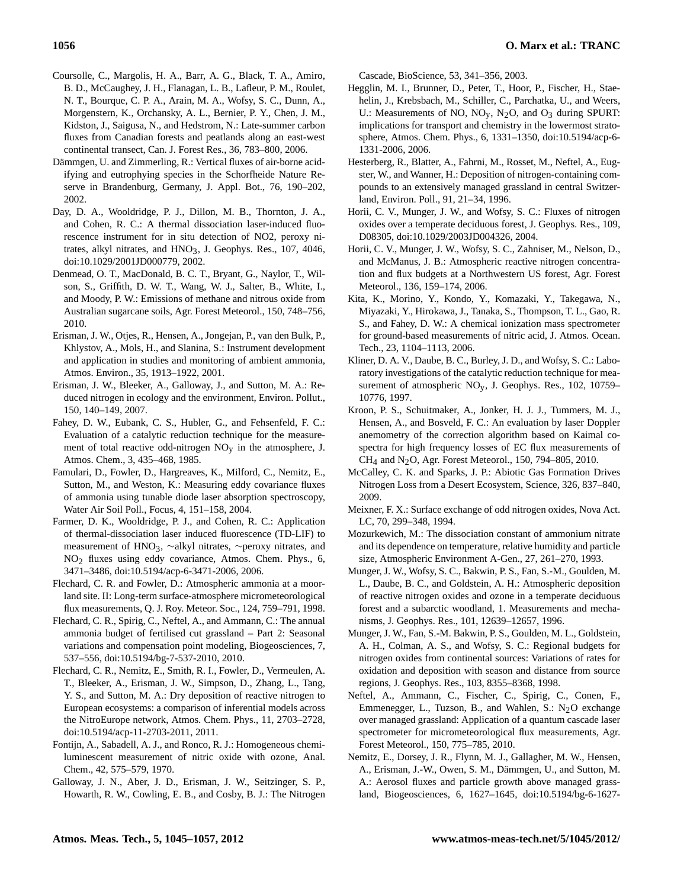- Coursolle, C., Margolis, H. A., Barr, A. G., Black, T. A., Amiro, B. D., McCaughey, J. H., Flanagan, L. B., Lafleur, P. M., Roulet, N. T., Bourque, C. P. A., Arain, M. A., Wofsy, S. C., Dunn, A., Morgenstern, K., Orchansky, A. L., Bernier, P. Y., Chen, J. M., Kidston, J., Saigusa, N., and Hedstrom, N.: Late-summer carbon fluxes from Canadian forests and peatlands along an east-west continental transect, Can. J. Forest Res., 36, 783–800, 2006.
- Dämmgen, U. and Zimmerling, R.: Vertical fluxes of air-borne acidifying and eutrophying species in the Schorfheide Nature Reserve in Brandenburg, Germany, J. Appl. Bot., 76, 190–202, 2002.
- Day, D. A., Wooldridge, P. J., Dillon, M. B., Thornton, J. A., and Cohen, R. C.: A thermal dissociation laser-induced fluorescence instrument for in situ detection of NO2, peroxy nitrates, alkyl nitrates, and HNO<sub>3</sub>, J. Geophys. Res., 107, 4046, [doi:10.1029/2001JD000779,](http://dx.doi.org/10.1029/2001JD000779) 2002.
- Denmead, O. T., MacDonald, B. C. T., Bryant, G., Naylor, T., Wilson, S., Griffith, D. W. T., Wang, W. J., Salter, B., White, I., and Moody, P. W.: Emissions of methane and nitrous oxide from Australian sugarcane soils, Agr. Forest Meteorol., 150, 748–756, 2010.
- Erisman, J. W., Otjes, R., Hensen, A., Jongejan, P., van den Bulk, P., Khlystov, A., Mols, H., and Slanina, S.: Instrument development and application in studies and monitoring of ambient ammonia, Atmos. Environ., 35, 1913–1922, 2001.
- Erisman, J. W., Bleeker, A., Galloway, J., and Sutton, M. A.: Reduced nitrogen in ecology and the environment, Environ. Pollut., 150, 140–149, 2007.
- Fahey, D. W., Eubank, C. S., Hubler, G., and Fehsenfeld, F. C.: Evaluation of a catalytic reduction technique for the measurement of total reactive odd-nitrogen  $NO<sub>y</sub>$  in the atmosphere, J. Atmos. Chem., 3, 435–468, 1985.
- Famulari, D., Fowler, D., Hargreaves, K., Milford, C., Nemitz, E., Sutton, M., and Weston, K.: Measuring eddy covariance fluxes of ammonia using tunable diode laser absorption spectroscopy, Water Air Soil Poll., Focus, 4, 151–158, 2004.
- Farmer, D. K., Wooldridge, P. J., and Cohen, R. C.: Application of thermal-dissociation laser induced fluorescence (TD-LIF) to measurement of HNO<sub>3</sub>, ∼alkyl nitrates, ∼peroxy nitrates, and  $NO<sub>2</sub>$  fluxes using eddy covariance, Atmos. Chem. Phys., 6, 3471–3486, [doi:10.5194/acp-6-3471-2006,](http://dx.doi.org/10.5194/acp-6-3471-2006) 2006.
- Flechard, C. R. and Fowler, D.: Atmospheric ammonia at a moorland site. II: Long-term surface-atmosphere micrometeorological flux measurements, Q. J. Roy. Meteor. Soc., 124, 759–791, 1998.
- Flechard, C. R., Spirig, C., Neftel, A., and Ammann, C.: The annual ammonia budget of fertilised cut grassland – Part 2: Seasonal variations and compensation point modeling, Biogeosciences, 7, 537–556, [doi:10.5194/bg-7-537-2010,](http://dx.doi.org/10.5194/bg-7-537-2010) 2010.
- Flechard, C. R., Nemitz, E., Smith, R. I., Fowler, D., Vermeulen, A. T., Bleeker, A., Erisman, J. W., Simpson, D., Zhang, L., Tang, Y. S., and Sutton, M. A.: Dry deposition of reactive nitrogen to European ecosystems: a comparison of inferential models across the NitroEurope network, Atmos. Chem. Phys., 11, 2703–2728, [doi:10.5194/acp-11-2703-2011,](http://dx.doi.org/10.5194/acp-11-2703-2011) 2011.
- Fontijn, A., Sabadell, A. J., and Ronco, R. J.: Homogeneous chemiluminescent measurement of nitric oxide with ozone, Anal. Chem., 42, 575–579, 1970.
- Galloway, J. N., Aber, J. D., Erisman, J. W., Seitzinger, S. P., Howarth, R. W., Cowling, E. B., and Cosby, B. J.: The Nitrogen

Cascade, BioScience, 53, 341–356, 2003.

- Hegglin, M. I., Brunner, D., Peter, T., Hoor, P., Fischer, H., Staehelin, J., Krebsbach, M., Schiller, C., Parchatka, U., and Weers, U.: Measurements of NO, NO<sub>y</sub>, N<sub>2</sub>O, and O<sub>3</sub> during SPURT: implications for transport and chemistry in the lowermost stratosphere, Atmos. Chem. Phys., 6, 1331–1350, [doi:10.5194/acp-6-](http://dx.doi.org/10.5194/acp-6-1331-2006) [1331-2006,](http://dx.doi.org/10.5194/acp-6-1331-2006) 2006.
- Hesterberg, R., Blatter, A., Fahrni, M., Rosset, M., Neftel, A., Eugster, W., and Wanner, H.: Deposition of nitrogen-containing compounds to an extensively managed grassland in central Switzerland, Environ. Poll., 91, 21–34, 1996.
- Horii, C. V., Munger, J. W., and Wofsy, S. C.: Fluxes of nitrogen oxides over a temperate deciduous forest, J. Geophys. Res., 109, D08305, [doi:10.1029/2003JD004326,](http://dx.doi.org/10.1029/2003JD004326) 2004.
- Horii, C. V., Munger, J. W., Wofsy, S. C., Zahniser, M., Nelson, D., and McManus, J. B.: Atmospheric reactive nitrogen concentration and flux budgets at a Northwestern US forest, Agr. Forest Meteorol., 136, 159–174, 2006.
- Kita, K., Morino, Y., Kondo, Y., Komazaki, Y., Takegawa, N., Miyazaki, Y., Hirokawa, J., Tanaka, S., Thompson, T. L., Gao, R. S., and Fahey, D. W.: A chemical ionization mass spectrometer for ground-based measurements of nitric acid, J. Atmos. Ocean. Tech., 23, 1104–1113, 2006.
- Kliner, D. A. V., Daube, B. C., Burley, J. D., and Wofsy, S. C.: Laboratory investigations of the catalytic reduction technique for measurement of atmospheric NO<sub>y</sub>, J. Geophys. Res., 102, 10759-10776, 1997.
- Kroon, P. S., Schuitmaker, A., Jonker, H. J. J., Tummers, M. J., Hensen, A., and Bosveld, F. C.: An evaluation by laser Doppler anemometry of the correction algorithm based on Kaimal cospectra for high frequency losses of EC flux measurements of CH4 and N2O, Agr. Forest Meteorol., 150, 794–805, 2010.
- McCalley, C. K. and Sparks, J. P.: Abiotic Gas Formation Drives Nitrogen Loss from a Desert Ecosystem, Science, 326, 837–840, 2009.
- Meixner, F. X.: Surface exchange of odd nitrogen oxides, Nova Act. LC, 70, 299–348, 1994.
- Mozurkewich, M.: The dissociation constant of ammonium nitrate and its dependence on temperature, relative humidity and particle size, Atmospheric Environment A-Gen., 27, 261–270, 1993.
- Munger, J. W., Wofsy, S. C., Bakwin, P. S., Fan, S.-M., Goulden, M. L., Daube, B. C., and Goldstein, A. H.: Atmospheric deposition of reactive nitrogen oxides and ozone in a temperate deciduous forest and a subarctic woodland, 1. Measurements and mechanisms, J. Geophys. Res., 101, 12639–12657, 1996.
- Munger, J. W., Fan, S.-M. Bakwin, P. S., Goulden, M. L., Goldstein, A. H., Colman, A. S., and Wofsy, S. C.: Regional budgets for nitrogen oxides from continental sources: Variations of rates for oxidation and deposition with season and distance from source regions, J. Geophys. Res., 103, 8355–8368, 1998.
- Neftel, A., Ammann, C., Fischer, C., Spirig, C., Conen, F., Emmenegger, L., Tuzson, B., and Wahlen, S.:  $N_2O$  exchange over managed grassland: Application of a quantum cascade laser spectrometer for micrometeorological flux measurements, Agr. Forest Meteorol., 150, 775–785, 2010.
- Nemitz, E., Dorsey, J. R., Flynn, M. J., Gallagher, M. W., Hensen, A., Erisman, J.-W., Owen, S. M., Dämmgen, U., and Sutton, M. A.: Aerosol fluxes and particle growth above managed grassland, Biogeosciences, 6, 1627–1645, [doi:10.5194/bg-6-1627-](http://dx.doi.org/10.5194/bg-6-1627-2009)